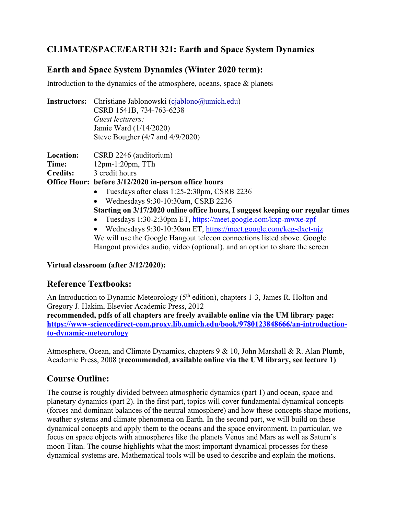# **CLIMATE/SPACE/EARTH 321: Earth and Space System Dynamics**

#### **Earth and Space System Dynamics (Winter 2020 term):**

Introduction to the dynamics of the atmosphere, oceans, space & planets

|  | <b>Instructors:</b> Christiane Jablonowski (cjablono@umich.edu) |  |
|--|-----------------------------------------------------------------|--|
|  | CSRB 1541B, 734-763-6238                                        |  |
|  | Guest lecturers:                                                |  |
|  | Jamie Ward (1/14/2020)                                          |  |
|  | Steve Bougher $(4/7$ and $4/9/2020$ )                           |  |
|  |                                                                 |  |

| <b>Location:</b> | CSRB 2246 (auditorium)                               |
|------------------|------------------------------------------------------|
| Time:            | $12pm-1:20pm, TTh$                                   |
| Credits:         | 3 credit hours                                       |
|                  | Office Hour: before 3/12/2020 in-person office hours |

- Tuesdays after class 1:25-2:30pm, CSRB 2236
- Wednesdays 9:30-10:30am, CSRB 2236

**Starting on 3/17/2020 online office hours, I suggest keeping our regular times** 

- Tuesdays 1:30-2:30pm ET, https://meet.google.com/kxp-mwxe-zpf
- Wednesdays 9:30-10:30am ET, https://meet.google.com/keg-dxct-njz We will use the Google Hangout telecon connections listed above. Google Hangout provides audio, video (optional), and an option to share the screen

#### **Virtual classroom (after 3/12/2020):**

## **Reference Textbooks:**

An Introduction to Dynamic Meteorology  $(5<sup>th</sup>$  edition), chapters 1-3, James R. Holton and Gregory J. Hakim, Elsevier Academic Press, 2012

**recommended, pdfs of all chapters are freely available online via the UM library page: https://www-sciencedirect-com.proxy.lib.umich.edu/book/9780123848666/an-introductionto-dynamic-meteorology**

Atmosphere, Ocean, and Climate Dynamics, chapters 9 & 10, John Marshall & R. Alan Plumb, Academic Press, 2008 (**recommended**, **available online via the UM library, see lecture 1)** 

#### **Course Outline:**

The course is roughly divided between atmospheric dynamics (part 1) and ocean, space and planetary dynamics (part 2). In the first part, topics will cover fundamental dynamical concepts (forces and dominant balances of the neutral atmosphere) and how these concepts shape motions, weather systems and climate phenomena on Earth. In the second part, we will build on these dynamical concepts and apply them to the oceans and the space environment. In particular, we focus on space objects with atmospheres like the planets Venus and Mars as well as Saturn's moon Titan. The course highlights what the most important dynamical processes for these dynamical systems are. Mathematical tools will be used to describe and explain the motions.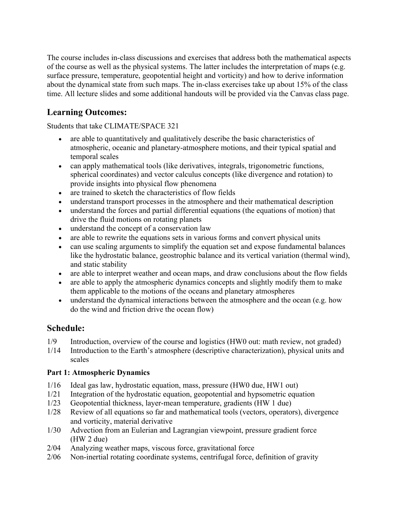The course includes in-class discussions and exercises that address both the mathematical aspects of the course as well as the physical systems. The latter includes the interpretation of maps (e.g. surface pressure, temperature, geopotential height and vorticity) and how to derive information about the dynamical state from such maps. The in-class exercises take up about 15% of the class time. All lecture slides and some additional handouts will be provided via the Canvas class page.

# **Learning Outcomes:**

Students that take CLIMATE/SPACE 321

- are able to quantitatively and qualitatively describe the basic characteristics of atmospheric, oceanic and planetary-atmosphere motions, and their typical spatial and temporal scales
- can apply mathematical tools (like derivatives, integrals, trigonometric functions, spherical coordinates) and vector calculus concepts (like divergence and rotation) to provide insights into physical flow phenomena
- are trained to sketch the characteristics of flow fields
- understand transport processes in the atmosphere and their mathematical description
- understand the forces and partial differential equations (the equations of motion) that drive the fluid motions on rotating planets
- understand the concept of a conservation law
- are able to rewrite the equations sets in various forms and convert physical units
- can use scaling arguments to simplify the equation set and expose fundamental balances like the hydrostatic balance, geostrophic balance and its vertical variation (thermal wind), and static stability
- are able to interpret weather and ocean maps, and draw conclusions about the flow fields
- are able to apply the atmospheric dynamics concepts and slightly modify them to make them applicable to the motions of the oceans and planetary atmospheres
- understand the dynamical interactions between the atmosphere and the ocean (e.g. how do the wind and friction drive the ocean flow)

## **Schedule:**

- 1/9 Introduction, overview of the course and logistics (HW0 out: math review, not graded)
- 1/14 Introduction to the Earth's atmosphere (descriptive characterization), physical units and scales

#### **Part 1: Atmospheric Dynamics**

- 1/16 Ideal gas law, hydrostatic equation, mass, pressure (HW0 due, HW1 out)
- 1/21 Integration of the hydrostatic equation, geopotential and hypsometric equation
- 1/23 Geopotential thickness, layer-mean temperature, gradients (HW 1 due)
- 1/28 Review of all equations so far and mathematical tools (vectors, operators), divergence and vorticity, material derivative
- 1/30 Advection from an Eulerian and Lagrangian viewpoint, pressure gradient force (HW 2 due)
- 2/04 Analyzing weather maps, viscous force, gravitational force
- 2/06 Non-inertial rotating coordinate systems, centrifugal force, definition of gravity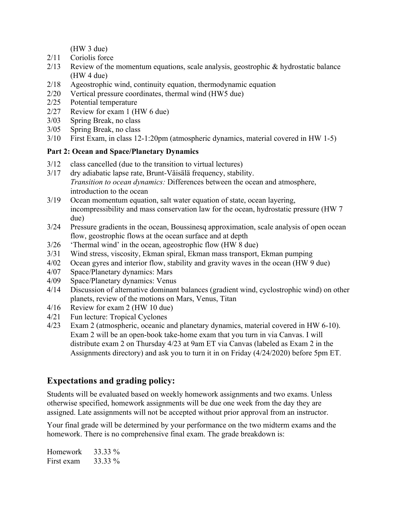(HW 3 due)

- 2/11 Coriolis force
- $2/13$  Review of the momentum equations, scale analysis, geostrophic & hydrostatic balance (HW 4 due)
- 2/18 Ageostrophic wind, continuity equation, thermodynamic equation
- 2/20 Vertical pressure coordinates, thermal wind (HW5 due)
- 2/25 Potential temperature
- 2/27 Review for exam 1 (HW 6 due)
- 3/03 Spring Break, no class
- 3/05 Spring Break, no class
- 3/10 First Exam, in class 12-1:20pm (atmospheric dynamics, material covered in HW 1-5)

#### **Part 2: Ocean and Space/Planetary Dynamics**

- 3/12 class cancelled (due to the transition to virtual lectures)
- 3/17 dry adiabatic lapse rate, Brunt-Väisälä frequency, stability. *Transition to ocean dynamics:* Differences between the ocean and atmosphere, introduction to the ocean
- 3/19 Ocean momentum equation, salt water equation of state, ocean layering, incompressibility and mass conservation law for the ocean, hydrostatic pressure (HW 7 due)
- 3/24 Pressure gradients in the ocean, Boussinesq approximation, scale analysis of open ocean flow, geostrophic flows at the ocean surface and at depth
- 3/26 'Thermal wind' in the ocean, ageostrophic flow (HW 8 due)
- 3/31 Wind stress, viscosity, Ekman spiral, Ekman mass transport, Ekman pumping
- 4/02 Ocean gyres and interior flow, stability and gravity waves in the ocean (HW 9 due)
- 4/07 Space/Planetary dynamics: Mars
- 4/09 Space/Planetary dynamics: Venus
- 4/14 Discussion of alternative dominant balances (gradient wind, cyclostrophic wind) on other planets, review of the motions on Mars, Venus, Titan
- 4/16 Review for exam 2 (HW 10 due)
- 4/21 Fun lecture: Tropical Cyclones
- 4/23 Exam 2 (atmospheric, oceanic and planetary dynamics, material covered in HW 6-10). Exam 2 will be an open-book take-home exam that you turn in via Canvas. I will distribute exam 2 on Thursday 4/23 at 9am ET via Canvas (labeled as Exam 2 in the Assignments directory) and ask you to turn it in on Friday (4/24/2020) before 5pm ET.

## **Expectations and grading policy:**

Students will be evaluated based on weekly homework assignments and two exams. Unless otherwise specified, homework assignments will be due one week from the day they are assigned. Late assignments will not be accepted without prior approval from an instructor.

Your final grade will be determined by your performance on the two midterm exams and the homework. There is no comprehensive final exam. The grade breakdown is:

| Homework   | 33.33 % |
|------------|---------|
| First exam | 33.33 % |